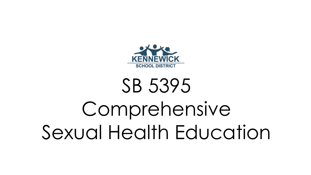

# SB 5395 Comprehensive Sexual Health Education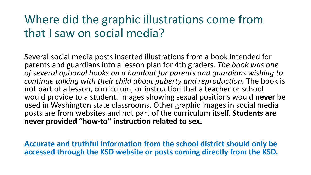## Where did the graphic illustrations come from that I saw on social media?

Several social media posts inserted illustrations from a book intended for parents and guardians into a lesson plan for 4th graders. *The book was one of several optional books on a handout for parents and guardians wishing to continue talking with their child about puberty and reproduction.* The book is **not** part of a lesson, curriculum, or instruction that a teacher or school would provide to a student. Images showing sexual positions would **never** be used in Washington state classrooms. Other graphic images in social media posts are from websites and not part of the curriculum itself. **Students are never provided "how-to" instruction related to sex.**

**Accurate and truthful information from the school district should only be accessed through the KSD website or posts coming directly from the KSD.**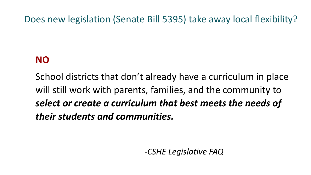Does new legislation (Senate Bill 5395) take away local flexibility?

#### **NO**

School districts that don't already have a curriculum in place will still work with parents, families, and the community to *select or create a curriculum that best meets the needs of their students and communities.*

*-CSHE Legislative FAQ*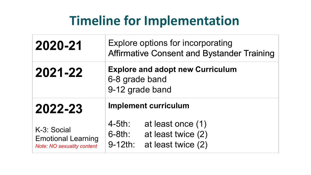## **Timeline for Implementation**

| 2020-21                                                                       | Explore options for incorporating<br><b>Affirmative Consent and Bystander Training</b>                |  |  |  |  |
|-------------------------------------------------------------------------------|-------------------------------------------------------------------------------------------------------|--|--|--|--|
| 2021-22                                                                       | <b>Explore and adopt new Curriculum</b><br>6-8 grade band<br>9-12 grade band                          |  |  |  |  |
| 2022-23                                                                       | <b>Implement curriculum</b>                                                                           |  |  |  |  |
| K-3: Social<br><b>Emotional Learning</b><br><b>Note: NO sexuality content</b> | $4-5th:$<br>at least once (1)<br>at least twice (2)<br>$6-8th:$<br>$9 - 12$ th:<br>at least twice (2) |  |  |  |  |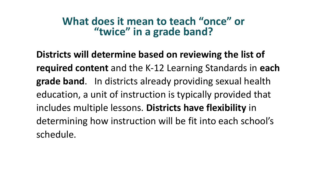#### **What does it mean to teach "once" or "twice" in a grade band?**

**Districts will determine based on reviewing the list of required content** and the K-12 Learning Standards in **each grade band**. In districts already providing sexual health education, a unit of instruction is typically provided that includes multiple lessons. **Districts have flexibility** in determining how instruction will be fit into each school's schedule.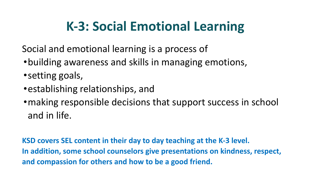# **K-3: Social Emotional Learning**

Social and emotional learning is a process of

- •building awareness and skills in managing emotions,
- •setting goals,
- •establishing relationships, and
- •making responsible decisions that support success in school and in life.

**KSD covers SEL content in their day to day teaching at the K-3 level. In addition, some school counselors give presentations on kindness, respect, and compassion for others and how to be a good friend.**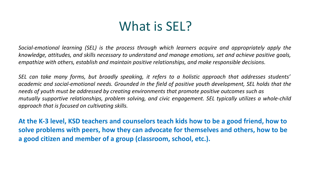## What is **SEL?**

*Social-emotional learning (SEL) is the process through which learners acquire and appropriately apply the knowledge, attitudes, and skills necessary to understand and manage emotions, set and achieve positive goals, empathize with others, establish and maintain positive relationships, and make responsible decisions.*

*SEL can take many forms, but broadly speaking, it refers to a holistic approach that addresses students' academic and social-emotional needs. Grounded in the field of positive youth development, SEL holds that the needs of youth must be addressed by creating environments that promote positive outcomes such as mutually supportive relationships, problem solving, and civic engagement. SEL typically utilizes a whole-child approach that is focused on cultivating skills.*

**At the K-3 level, KSD teachers and counselors teach kids how to be a good friend, how to solve problems with peers, how they can advocate for themselves and others, how to be a good citizen and member of a group (classroom, school, etc.).**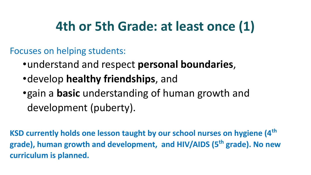# **4th or 5th Grade: at least once (1)**

Focuses on helping students:

- •understand and respect **personal boundaries**,
- •develop **healthy friendships**, and
- •gain a **basic** understanding of human growth and development (puberty).

**KSD currently holds one lesson taught by our school nurses on hygiene (4th grade), human growth and development, and HIV/AIDS (5th grade). No new curriculum is planned.**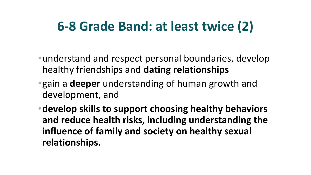## **6-8 Grade Band: at least twice (2)**

- •understand and respect personal boundaries, develop healthy friendships and **dating relationships**
- •gain a **deeper** understanding of human growth and development, and
- •**develop skills to support choosing healthy behaviors and reduce health risks, including understanding the influence of family and society on healthy sexual relationships.**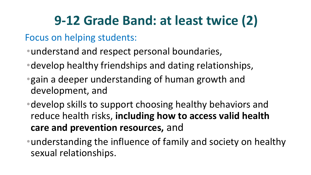# **9-12 Grade Band: at least twice (2)**

#### Focus on helping students:

- •understand and respect personal boundaries,
- •develop healthy friendships and dating relationships,
- •gain a deeper understanding of human growth and development, and
- •develop skills to support choosing healthy behaviors and reduce health risks, **including how to access valid health care and prevention resources,** and
- •understanding the influence of family and society on healthy sexual relationships.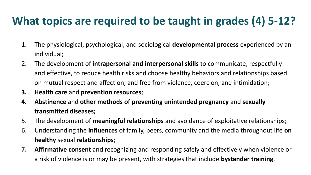### **What topics are required to be taught in grades (4) 5-12?**

- 1. The physiological, psychological, and sociological **developmental process** experienced by an individual;
- 2. The development of **intrapersonal and interpersonal skills** to communicate, respectfully and effective, to reduce health risks and choose healthy behaviors and relationships based on mutual respect and affection, and free from violence, coercion, and intimidation;
- **3. Health care** and **prevention resources**;
- **4. Abstinence** and **other methods of preventing unintended pregnancy** and **sexually transmitted diseases;**
- 5. The development of **meaningful relationships** and avoidance of exploitative relationships;
- 6. Understanding the **influences** of family, peers, community and the media throughout life **on healthy** sexual **relationships**;
- **7. Affirmative consent** and recognizing and responding safely and effectively when violence or a risk of violence is or may be present, with strategies that include **bystander training**.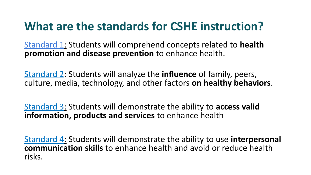## **What are the standards for CSHE instruction?**

Standard 1: Students will comprehend concepts related to **health promotion and disease prevention** to enhance health.

Standard 2: Students will analyze the **influence** of family, peers, culture, media, technology, and other factors **on healthy behaviors**.

Standard 3: Students will demonstrate the ability to **access valid information, products and services** to enhance health

Standard 4: Students will demonstrate the ability to use **interpersonal communication skills** to enhance health and avoid or reduce health risks.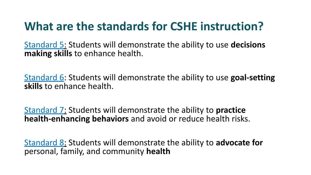## **What are the standards for CSHE instruction?**

Standard 5: Students will demonstrate the ability to use **decisions making skills** to enhance health.

Standard 6: Students will demonstrate the ability to use **goal-setting skills** to enhance health.

Standard 7: Students will demonstrate the ability to **practice health-enhancing behaviors** and avoid or reduce health risks.

Standard 8: Students will demonstrate the ability to **advocate for**  personal, family, and community **health**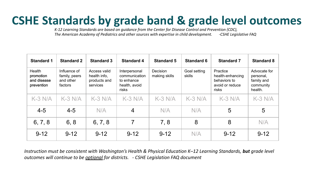## **CSHE Standards by grade band & grade level outcomes**

*K-12 Learning Standards are based on guidance from the Center for Disease Control and Prevention (CDC), The American Academy of Pediatrics and other sources with expertise in child development.* 

| <b>Standard 1</b>                                | <b>Standard 2</b>                                     | <b>Standard 3</b>                                        | <b>Standard 4</b>                                                      | <b>Standard 5</b>                | <b>Standard 6</b>      | <b>Standard 7</b>                                                        | <b>Standard 8</b>                                               |
|--------------------------------------------------|-------------------------------------------------------|----------------------------------------------------------|------------------------------------------------------------------------|----------------------------------|------------------------|--------------------------------------------------------------------------|-----------------------------------------------------------------|
| Health<br>promotion<br>and disease<br>prevention | Influence of<br>family, peers<br>and other<br>factors | Access valid<br>health info.<br>products and<br>services | Interpersonal<br>communication<br>to enhance<br>health, avoid<br>risks | <b>Decision</b><br>making skills | Goal setting<br>skills | Practice<br>health-enhancing<br>behaviors to<br>avoid or reduce<br>risks | Advocate for<br>personal,<br>family and<br>community<br>health. |
| $K-3$ N/A                                        | $K-3 N/A$                                             | $K-3$ N/A                                                | $K-3$ N/A                                                              | $K-3$ N/A                        | $K-3$ N/A              | $K-3$ N/A                                                                | $K-3$ N/A                                                       |
| $4 - 5$                                          | $4 - 5$                                               | N/A                                                      | $\overline{4}$                                                         | N/A                              | N/A                    | 5                                                                        | 5                                                               |
| 6, 7, 8                                          | 6, 8                                                  | 6, 7, 8                                                  | 7                                                                      | 7,8                              | 8                      | 8                                                                        | N/A                                                             |
| $9 - 12$                                         | $9 - 12$                                              | $9 - 12$                                                 | $9 - 12$                                                               | $9 - 12$                         | N/A                    | $9 - 12$                                                                 | $9 - 12$                                                        |

*Instruction must be consistent with Washington's Health & Physical Education K–12 Learning Standards, but grade level outcomes will continue to be optional for districts. - CSHE Legislation FAQ document*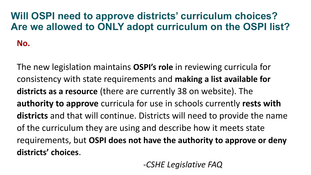## **Will OSPI need to approve districts' curriculum choices? Are we allowed to ONLY adopt curriculum on the OSPI list?**

**No.** 

The new legislation maintains **OSPI's role** in reviewing curricula for consistency with state requirements and **making a list available for districts as a resource** (there are currently 38 on website). The **authority to approve** curricula for use in schools currently **rests with districts** and that will continue. Districts will need to provide the name of the curriculum they are using and describe how it meets state requirements, but **OSPI does not have the authority to approve or deny districts' choices**.

 *-CSHE Legislative FAQ*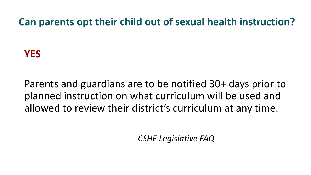**Can parents opt their child out of sexual health instruction?**

#### **YES**

Parents and guardians are to be notified 30+ days prior to planned instruction on what curriculum will be used and allowed to review their district's curriculum at any time.

 *-CSHE Legislative FAQ*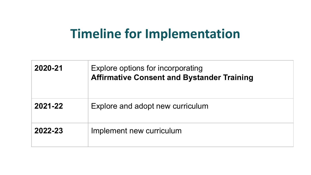## **Timeline for Implementation**

| 2020-21 | Explore options for incorporating<br><b>Affirmative Consent and Bystander Training</b> |
|---------|----------------------------------------------------------------------------------------|
| 2021-22 | Explore and adopt new curriculum                                                       |
| 2022-23 | Implement new curriculum                                                               |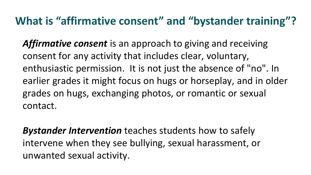#### **What is "affirmative consent" and "bystander training"?**

*Affirmative consent* is an approach to giving and receiving consent for any activity that includes clear, voluntary, enthusiastic permission. It is not just the absence of "no". In earlier grades it might focus on hugs or horseplay, and in older grades on hugs, exchanging photos, or romantic or sexual contact.

*Bystander Intervention* teaches students how to safely intervene when they see bullying, sexual harassment, or unwanted sexual activity.